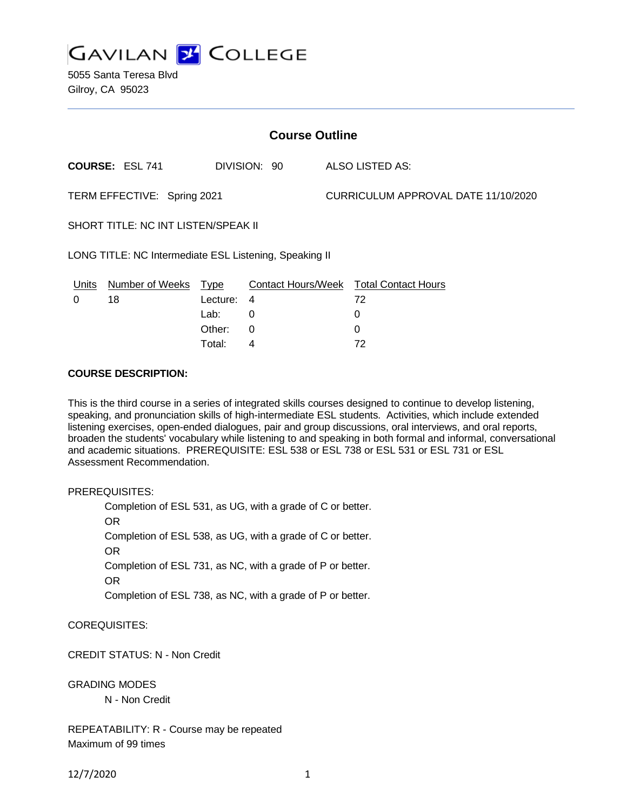

5055 Santa Teresa Blvd Gilroy, CA 95023

| <b>Course Outline</b>                                  |                        |             |              |                                     |                                        |
|--------------------------------------------------------|------------------------|-------------|--------------|-------------------------------------|----------------------------------------|
|                                                        | <b>COURSE: ESL 741</b> |             | DIVISION: 90 |                                     | ALSO LISTED AS:                        |
| TERM EFFECTIVE: Spring 2021                            |                        |             |              | CURRICULUM APPROVAL DATE 11/10/2020 |                                        |
| SHORT TITLE: NC INT LISTEN/SPEAK II                    |                        |             |              |                                     |                                        |
| LONG TITLE: NC Intermediate ESL Listening, Speaking II |                        |             |              |                                     |                                        |
| Units                                                  | <b>Number of Weeks</b> | <u>Type</u> |              |                                     | Contact Hours/Week Total Contact Hours |
| 0                                                      | 18                     | Lecture:    | 4            |                                     | 72                                     |
|                                                        |                        | Lab:        | 0            |                                     | 0                                      |
|                                                        |                        | Other:      | 0            |                                     | 0                                      |
|                                                        |                        | Total:      | 4            |                                     | 72                                     |

### **COURSE DESCRIPTION:**

This is the third course in a series of integrated skills courses designed to continue to develop listening, speaking, and pronunciation skills of high-intermediate ESL students. Activities, which include extended listening exercises, open-ended dialogues, pair and group discussions, oral interviews, and oral reports, broaden the students' vocabulary while listening to and speaking in both formal and informal, conversational and academic situations. PREREQUISITE: ESL 538 or ESL 738 or ESL 531 or ESL 731 or ESL Assessment Recommendation.

PREREQUISITES:

Completion of ESL 531, as UG, with a grade of C or better. OR Completion of ESL 538, as UG, with a grade of C or better. OR Completion of ESL 731, as NC, with a grade of P or better. OR Completion of ESL 738, as NC, with a grade of P or better.

COREQUISITES:

CREDIT STATUS: N - Non Credit

GRADING MODES

N - Non Credit

REPEATABILITY: R - Course may be repeated Maximum of 99 times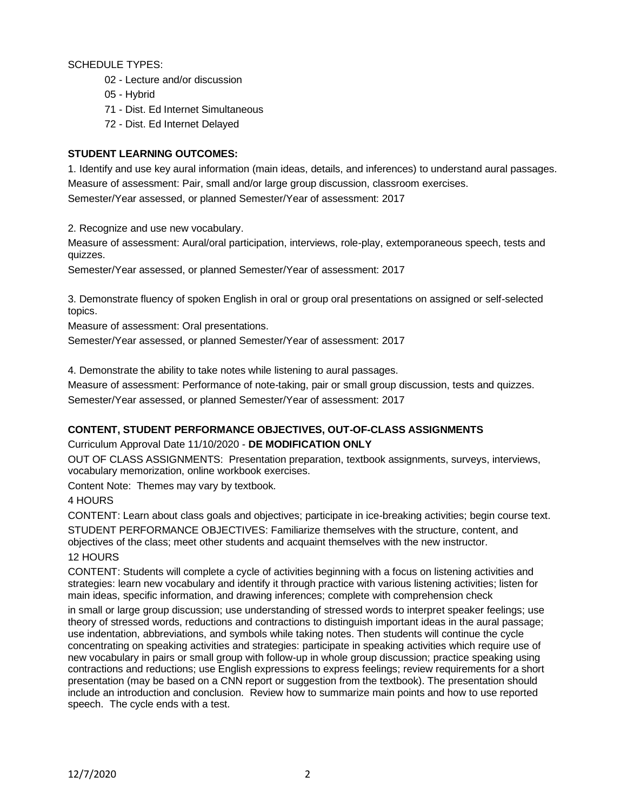SCHEDULE TYPES:

- 02 Lecture and/or discussion
- 05 Hybrid
- 71 Dist. Ed Internet Simultaneous
- 72 Dist. Ed Internet Delayed

## **STUDENT LEARNING OUTCOMES:**

1. Identify and use key aural information (main ideas, details, and inferences) to understand aural passages. Measure of assessment: Pair, small and/or large group discussion, classroom exercises. Semester/Year assessed, or planned Semester/Year of assessment: 2017

2. Recognize and use new vocabulary.

Measure of assessment: Aural/oral participation, interviews, role-play, extemporaneous speech, tests and quizzes.

Semester/Year assessed, or planned Semester/Year of assessment: 2017

3. Demonstrate fluency of spoken English in oral or group oral presentations on assigned or self-selected topics.

Measure of assessment: Oral presentations.

Semester/Year assessed, or planned Semester/Year of assessment: 2017

4. Demonstrate the ability to take notes while listening to aural passages.

Measure of assessment: Performance of note-taking, pair or small group discussion, tests and quizzes. Semester/Year assessed, or planned Semester/Year of assessment: 2017

## **CONTENT, STUDENT PERFORMANCE OBJECTIVES, OUT-OF-CLASS ASSIGNMENTS**

Curriculum Approval Date 11/10/2020 - **DE MODIFICATION ONLY**

OUT OF CLASS ASSIGNMENTS: Presentation preparation, textbook assignments, surveys, interviews, vocabulary memorization, online workbook exercises.

Content Note: Themes may vary by textbook.

## 4 HOURS

CONTENT: Learn about class goals and objectives; participate in ice-breaking activities; begin course text. STUDENT PERFORMANCE OBJECTIVES: Familiarize themselves with the structure, content, and objectives of the class; meet other students and acquaint themselves with the new instructor.

## 12 HOURS

CONTENT: Students will complete a cycle of activities beginning with a focus on listening activities and strategies: learn new vocabulary and identify it through practice with various listening activities; listen for main ideas, specific information, and drawing inferences; complete with comprehension check

in small or large group discussion; use understanding of stressed words to interpret speaker feelings; use theory of stressed words, reductions and contractions to distinguish important ideas in the aural passage; use indentation, abbreviations, and symbols while taking notes. Then students will continue the cycle concentrating on speaking activities and strategies: participate in speaking activities which require use of new vocabulary in pairs or small group with follow-up in whole group discussion; practice speaking using contractions and reductions; use English expressions to express feelings; review requirements for a short presentation (may be based on a CNN report or suggestion from the textbook). The presentation should include an introduction and conclusion. Review how to summarize main points and how to use reported speech. The cycle ends with a test.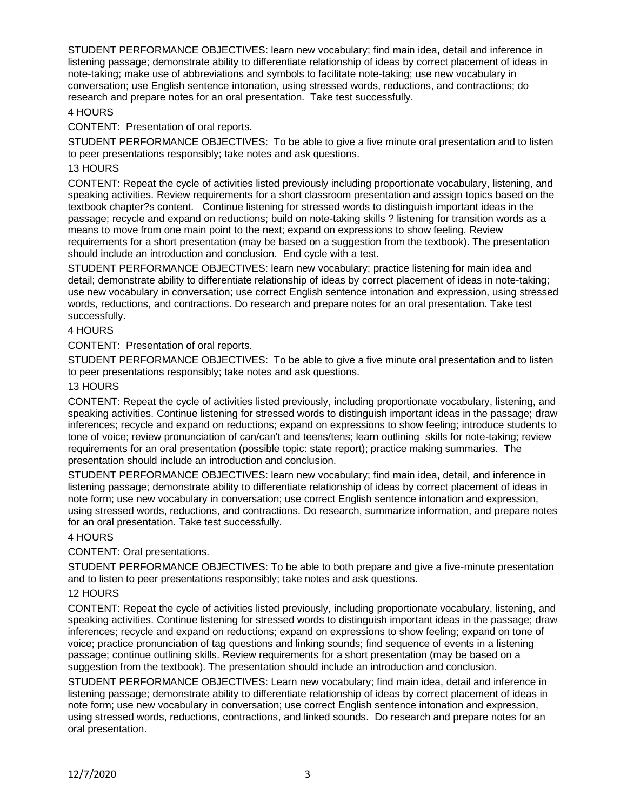STUDENT PERFORMANCE OBJECTIVES: learn new vocabulary; find main idea, detail and inference in listening passage; demonstrate ability to differentiate relationship of ideas by correct placement of ideas in note-taking; make use of abbreviations and symbols to facilitate note-taking; use new vocabulary in conversation; use English sentence intonation, using stressed words, reductions, and contractions; do research and prepare notes for an oral presentation. Take test successfully.

## 4 HOURS

CONTENT: Presentation of oral reports.

STUDENT PERFORMANCE OBJECTIVES: To be able to give a five minute oral presentation and to listen to peer presentations responsibly; take notes and ask questions.

### 13 HOURS

CONTENT: Repeat the cycle of activities listed previously including proportionate vocabulary, listening, and speaking activities. Review requirements for a short classroom presentation and assign topics based on the textbook chapter?s content. Continue listening for stressed words to distinguish important ideas in the passage; recycle and expand on reductions; build on note-taking skills ? listening for transition words as a means to move from one main point to the next; expand on expressions to show feeling. Review requirements for a short presentation (may be based on a suggestion from the textbook). The presentation should include an introduction and conclusion. End cycle with a test.

STUDENT PERFORMANCE OBJECTIVES: learn new vocabulary; practice listening for main idea and detail; demonstrate ability to differentiate relationship of ideas by correct placement of ideas in note-taking; use new vocabulary in conversation; use correct English sentence intonation and expression, using stressed words, reductions, and contractions. Do research and prepare notes for an oral presentation. Take test successfully.

### 4 HOURS

CONTENT: Presentation of oral reports.

STUDENT PERFORMANCE OBJECTIVES: To be able to give a five minute oral presentation and to listen to peer presentations responsibly; take notes and ask questions.

### 13 HOURS

CONTENT: Repeat the cycle of activities listed previously, including proportionate vocabulary, listening, and speaking activities. Continue listening for stressed words to distinguish important ideas in the passage; draw inferences; recycle and expand on reductions; expand on expressions to show feeling; introduce students to tone of voice; review pronunciation of can/can't and teens/tens; learn outlining skills for note-taking; review requirements for an oral presentation (possible topic: state report); practice making summaries. The presentation should include an introduction and conclusion.

STUDENT PERFORMANCE OBJECTIVES: learn new vocabulary; find main idea, detail, and inference in listening passage; demonstrate ability to differentiate relationship of ideas by correct placement of ideas in note form; use new vocabulary in conversation; use correct English sentence intonation and expression, using stressed words, reductions, and contractions. Do research, summarize information, and prepare notes for an oral presentation. Take test successfully.

## 4 HOURS

CONTENT: Oral presentations.

STUDENT PERFORMANCE OBJECTIVES: To be able to both prepare and give a five-minute presentation and to listen to peer presentations responsibly; take notes and ask questions.

### 12 HOURS

CONTENT: Repeat the cycle of activities listed previously, including proportionate vocabulary, listening, and speaking activities. Continue listening for stressed words to distinguish important ideas in the passage; draw inferences; recycle and expand on reductions; expand on expressions to show feeling; expand on tone of voice; practice pronunciation of tag questions and linking sounds; find sequence of events in a listening passage; continue outlining skills. Review requirements for a short presentation (may be based on a suggestion from the textbook). The presentation should include an introduction and conclusion.

STUDENT PERFORMANCE OBJECTIVES: Learn new vocabulary; find main idea, detail and inference in listening passage; demonstrate ability to differentiate relationship of ideas by correct placement of ideas in note form; use new vocabulary in conversation; use correct English sentence intonation and expression, using stressed words, reductions, contractions, and linked sounds. Do research and prepare notes for an oral presentation.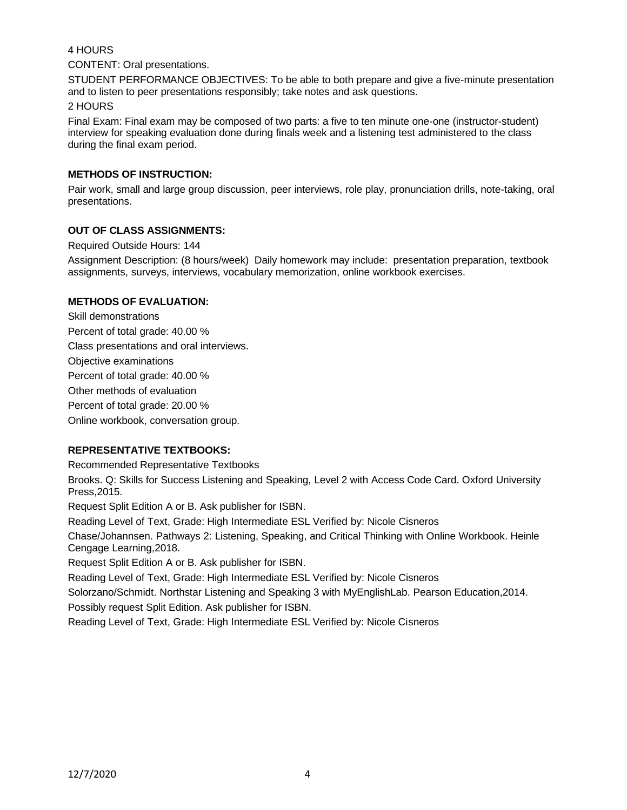# 4 HOURS

### CONTENT: Oral presentations.

STUDENT PERFORMANCE OBJECTIVES: To be able to both prepare and give a five-minute presentation and to listen to peer presentations responsibly; take notes and ask questions.

### 2 HOURS

Final Exam: Final exam may be composed of two parts: a five to ten minute one-one (instructor-student) interview for speaking evaluation done during finals week and a listening test administered to the class during the final exam period.

# **METHODS OF INSTRUCTION:**

Pair work, small and large group discussion, peer interviews, role play, pronunciation drills, note-taking, oral presentations.

# **OUT OF CLASS ASSIGNMENTS:**

Required Outside Hours: 144

Assignment Description: (8 hours/week) Daily homework may include: presentation preparation, textbook assignments, surveys, interviews, vocabulary memorization, online workbook exercises.

# **METHODS OF EVALUATION:**

Skill demonstrations Percent of total grade: 40.00 % Class presentations and oral interviews. Objective examinations Percent of total grade: 40.00 % Other methods of evaluation Percent of total grade: 20.00 % Online workbook, conversation group.

# **REPRESENTATIVE TEXTBOOKS:**

Recommended Representative Textbooks

Brooks. Q: Skills for Success Listening and Speaking, Level 2 with Access Code Card. Oxford University Press,2015.

Request Split Edition A or B. Ask publisher for ISBN.

Reading Level of Text, Grade: High Intermediate ESL Verified by: Nicole Cisneros

Chase/Johannsen. Pathways 2: Listening, Speaking, and Critical Thinking with Online Workbook. Heinle Cengage Learning,2018.

Request Split Edition A or B. Ask publisher for ISBN.

Reading Level of Text, Grade: High Intermediate ESL Verified by: Nicole Cisneros

Solorzano/Schmidt. Northstar Listening and Speaking 3 with MyEnglishLab. Pearson Education,2014. Possibly request Split Edition. Ask publisher for ISBN.

Reading Level of Text, Grade: High Intermediate ESL Verified by: Nicole Cisneros